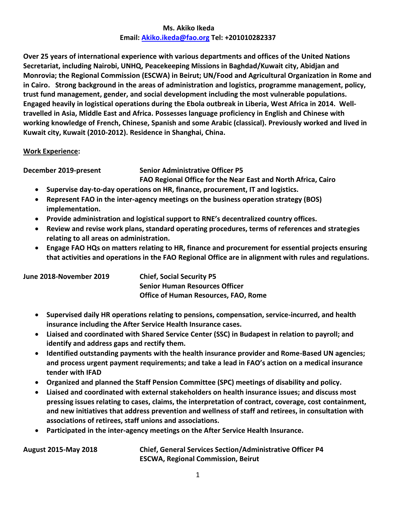## **Ms. Akiko Ikeda Email: [Akiko.ikeda@fao.org](mailto:Akiko.ikeda@fao.org) Tel: +201010282337**

**Over 25 years of international experience with various departments and offices of the United Nations Secretariat, including Nairobi, UNHQ, Peacekeeping Missions in Baghdad/Kuwait city, Abidjan and Monrovia; the Regional Commission (ESCWA) in Beirut; UN/Food and Agricultural Organization in Rome and in Cairo. Strong background in the areas of administration and logistics, programme management, policy, trust fund management, gender, and social development including the most vulnerable populations. Engaged heavily in logistical operations during the Ebola outbreak in Liberia, West Africa in 2014. Welltravelled in Asia, Middle East and Africa. Possesses language proficiency in English and Chinese with working knowledge of French, Chinese, Spanish and some Arabic (classical). Previously worked and lived in Kuwait city, Kuwait (2010-2012). Residence in Shanghai, China.**

## **Work Experience:**

**December 2019-present Senior Administrative Officer P5**

**FAO Regional Office for the Near East and North Africa, Cairo**

- **Supervise day-to-day operations on HR, finance, procurement, IT and logistics.**
- **Represent FAO in the inter-agency meetings on the business operation strategy (BOS) implementation.**
- **Provide administration and logistical support to RNE's decentralized country offices.**
- **Review and revise work plans, standard operating procedures, terms of references and strategies relating to all areas on administration.**
- **Engage FAO HQs on matters relating to HR, finance and procurement for essential projects ensuring that activities and operations in the FAO Regional Office are in alignment with rules and regulations.**

| June 2018-November 2019 | <b>Chief, Social Security P5</b>            |  |
|-------------------------|---------------------------------------------|--|
|                         | <b>Senior Human Resources Officer</b>       |  |
|                         | <b>Office of Human Resources, FAO, Rome</b> |  |

- **Supervised daily HR operations relating to pensions, compensation, service-incurred, and health insurance including the After Service Health Insurance cases.**
- **Liaised and coordinated with Shared Service Center (SSC) in Budapest in relation to payroll; and identify and address gaps and rectify them.**
- **Identified outstanding payments with the health insurance provider and Rome-Based UN agencies; and process urgent payment requirements; and take a lead in FAO's action on a medical insurance tender with IFAD**
- **Organized and planned the Staff Pension Committee (SPC) meetings of disability and policy.**
- **Liaised and coordinated with external stakeholders on health insurance issues; and discuss most pressing issues relating to cases, claims, the interpretation of contract, coverage, cost containment, and new initiatives that address prevention and wellness of staff and retirees, in consultation with associations of retirees, staff unions and associations.**
- **Participated in the inter-agency meetings on the After Service Health Insurance.**

**August 2015-May 2018 Chief, General Services Section/Administrative Officer P4 ESCWA, Regional Commission, Beirut**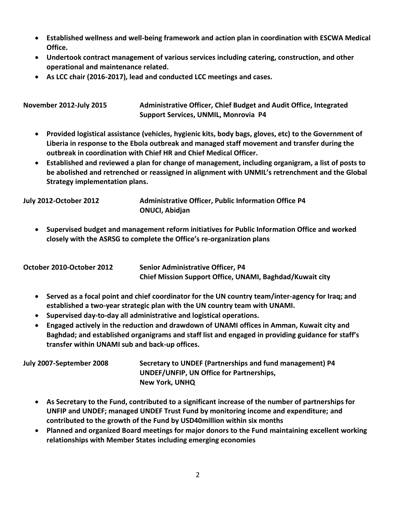- **Established wellness and well-being framework and action plan in coordination with ESCWA Medical Office.**
- **Undertook contract management of various services including catering, construction, and other operational and maintenance related.**
- **As LCC chair (2016-2017), lead and conducted LCC meetings and cases.**

**November 2012-July 2015 Administrative Officer, Chief Budget and Audit Office, Integrated Support Services, UNMIL, Monrovia P4**

- **Provided logistical assistance (vehicles, hygienic kits, body bags, gloves, etc) to the Government of Liberia in response to the Ebola outbreak and managed staff movement and transfer during the outbreak in coordination with Chief HR and Chief Medical Officer.**
- **Established and reviewed a plan for change of management, including organigram, a list of posts to be abolished and retrenched or reassigned in alignment with UNMIL's retrenchment and the Global Strategy implementation plans.**

**July 2012-October 2012 Administrative Officer, Public Information Office P4 ONUCI, Abidjan** 

 **Supervised budget and management reform initiatives for Public Information Office and worked closely with the ASRSG to complete the Office's re-organization plans**

| October 2010-October 2012 | <b>Senior Administrative Officer, P4</b>                 |
|---------------------------|----------------------------------------------------------|
|                           | Chief Mission Support Office, UNAMI, Baghdad/Kuwait city |

- **Served as a focal point and chief coordinator for the UN country team/inter-agency for Iraq; and established a two-year strategic plan with the UN country team with UNAMI.**
- **Supervised day-to-day all administrative and logistical operations.**
- **Engaged actively in the reduction and drawdown of UNAMI offices in Amman, Kuwait city and Baghdad; and established organigrams and staff list and engaged in providing guidance for staff's transfer within UNAMI sub and back-up offices.**

| July 2007-September 2008 | Secretary to UNDEF (Partnerships and fund management) P4 |
|--------------------------|----------------------------------------------------------|
|                          | UNDEF/UNFIP, UN Office for Partnerships,                 |
|                          | New York, UNHQ                                           |

- **As Secretary to the Fund, contributed to a significant increase of the number of partnerships for UNFIP and UNDEF; managed UNDEF Trust Fund by monitoring income and expenditure; and contributed to the growth of the Fund by USD40million within six months**
- **Planned and organized Board meetings for major donors to the Fund maintaining excellent working relationships with Member States including emerging economies**